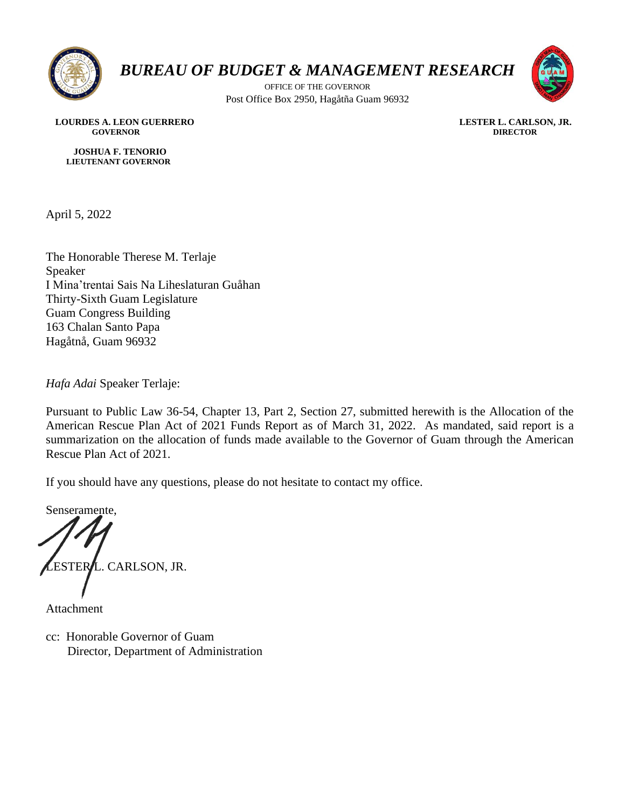

## *BUREAU OF BUDGET & MANAGEMENT RESEARCH*

OFFICE OF THE GOVERNOR Post Office Box 2950, Hagåtña Guam 96932



 **LOURDES A. LEON GUERRERO LESTER L. CARLSON, JR. GOVERNOR DIRECTOR**

 **JOSHUA F. TENORIO LIEUTENANT GOVERNOR** 

April 5, 2022

The Honorable Therese M. Terlaje Speaker I Mina'trentai Sais Na Liheslaturan Guåhan Thirty-Sixth Guam Legislature Guam Congress Building 163 Chalan Santo Papa Hagåtnå, Guam 96932

*Hafa Adai* Speaker Terlaje:

Pursuant to Public Law 36-54, Chapter 13, Part 2, Section 27, submitted herewith is the Allocation of the American Rescue Plan Act of 2021 Funds Report as of March 31, 2022. As mandated, said report is a summarization on the allocation of funds made available to the Governor of Guam through the American Rescue Plan Act of 2021.

If you should have any questions, please do not hesitate to contact my office.

Senseramente, ESTER**/**L. CARLSON, JR.

Attachment

cc: Honorable Governor of Guam Director, Department of Administration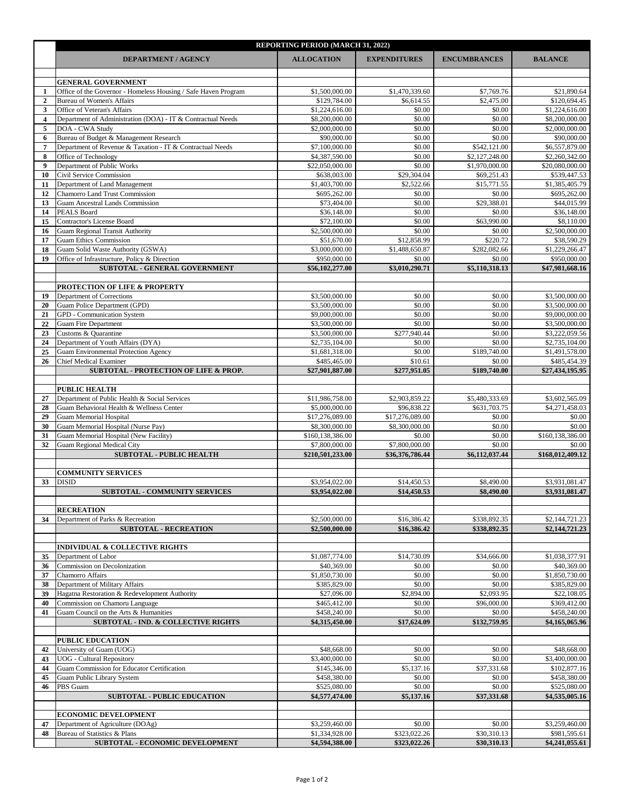|          | <b>REPORTING PERIOD (MARCH 31, 2022)</b>                                                |                                    |                          |                                  |                                   |  |  |  |
|----------|-----------------------------------------------------------------------------------------|------------------------------------|--------------------------|----------------------------------|-----------------------------------|--|--|--|
|          | <b>DEPARTMENT / AGENCY</b>                                                              | <b>ALLOCATION</b>                  | <b>EXPENDITURES</b>      | <b>ENCUMBRANCES</b>              | <b>BALANCE</b>                    |  |  |  |
|          |                                                                                         |                                    |                          |                                  |                                   |  |  |  |
|          | <b>GENERAL GOVERNMENT</b>                                                               |                                    |                          |                                  |                                   |  |  |  |
|          | Office of the Governor - Homeless Housing / Safe Haven Program                          | \$1,500,000.00                     | \$1,470,339.60           | \$7,769.76                       | \$21,890.64                       |  |  |  |
| 2<br>3   | <b>Bureau of Women's Affairs</b><br>Office of Veteran's Affairs                         | \$129,784.00<br>\$1,224,616.00     | \$6,614.55<br>\$0.00     | \$2,475.00<br>\$0.00             | \$120,694.45<br>\$1,224,616.00    |  |  |  |
|          | Department of Administration (DOA) - IT & Contractual Needs                             | \$8,200,000.00                     | \$0.00                   | \$0.00                           | \$8,200,000.00                    |  |  |  |
| 5        | DOA - CWA Study                                                                         | \$2,000,000.00                     | \$0.00                   | \$0.00                           | \$2,000,000.00                    |  |  |  |
|          | Bureau of Budget & Management Research                                                  | \$90,000.00                        | \$0.00                   | \$0.00                           | \$90,000.00                       |  |  |  |
|          | Department of Revenue & Taxation - IT & Contractual Needs                               | \$7,100,000.00                     | \$0.00                   | \$542,121.00                     | \$6,557,879.00                    |  |  |  |
|          | Office of Technology<br>Department of Public Works                                      | \$4,387,590.00<br>\$22,050,000.00  | \$0.00<br>\$0.00         | \$2,127,248.00<br>\$1,970,000.00 | \$2,260,342.00<br>\$20,080,000.00 |  |  |  |
| 10       | Civil Service Commission                                                                | \$638,003.00                       | \$29,304.04              | \$69,251.43                      | \$539,447.53                      |  |  |  |
|          | Department of Land Management                                                           | \$1,403,700.00                     | \$2,522.66               | \$15,771.55                      | \$1,385,405.79                    |  |  |  |
| 12       | <b>Chamorro Land Trust Commission</b>                                                   | \$695,262.00                       | \$0.00                   | \$0.00                           | \$695,262.00                      |  |  |  |
| 13       | <b>Guam Ancestral Lands Commission</b>                                                  | \$73,404.00                        | \$0.00                   | \$29,388.01                      | \$44,015.99                       |  |  |  |
| 14<br>15 | <b>PEALS Board</b><br><b>Contractor's License Board</b>                                 | \$36,148.00<br>\$72,100.00         | \$0.00<br>\$0.00         | \$0.00<br>\$63,990.00            | \$36,148.00<br>\$8,110.00         |  |  |  |
| 16       | <b>Guam Regional Transit Authority</b>                                                  | \$2,500,000.00                     | \$0.00                   | \$0.00                           | \$2,500,000.00                    |  |  |  |
|          | <b>Guam Ethics Commission</b>                                                           | \$51,670.00                        | \$12,858.99              | \$220.72                         | \$38,590.29                       |  |  |  |
| 18       | Guam Solid Waste Authority (GSWA)                                                       | \$3,000,000.00                     | \$1,488,650.87           | \$282,082.66                     | \$1,229,266.47                    |  |  |  |
| 19       | Office of Infrastructure, Policy & Direction                                            | \$950,000.00                       | \$0.00                   | \$0.00                           | \$950,000.00                      |  |  |  |
|          | <b>SUBTOTAL - GENERAL GOVERNMENT</b>                                                    | \$56,102,277.00                    | \$3,010,290.71           | \$5,110,318.13                   | \$47,981,668.16                   |  |  |  |
|          | <b>PROTECTION OF LIFE &amp; PROPERTY</b>                                                |                                    |                          |                                  |                                   |  |  |  |
| 19       | Department of Corrections                                                               | \$3,500,000.00                     | \$0.00                   | \$0.00                           | \$3,500,000.00                    |  |  |  |
| 20       | Guam Police Department (GPD)                                                            | \$3,500,000.00                     | \$0.00                   | \$0.00                           | \$3,500,000.00                    |  |  |  |
| 21       | <b>GPD</b> - Communication System                                                       | \$9,000,000.00                     | \$0.00                   | \$0.00                           | \$9,000,000.00                    |  |  |  |
| 22       | <b>Guam Fire Department</b><br>Customs & Quarantine                                     | \$3,500,000.00<br>\$3,500,000.00   | \$0.00<br>\$277,940.44   | \$0.00<br>\$0.00                 | \$3,500,000.00<br>\$3,222,059.56  |  |  |  |
| 24       | Department of Youth Affairs (DYA)                                                       | \$2,735,104.00                     | \$0.00                   | \$0.00                           | \$2,735,104.00                    |  |  |  |
| 25       | Guam Environmental Protection Agency                                                    | \$1,681,318.00                     | \$0.00                   | \$189,740.00                     | \$1,491,578.00                    |  |  |  |
| 26       | <b>Chief Medical Examiner</b>                                                           | \$485,465.00                       | \$10.61                  | \$0.00                           | \$485,454.39                      |  |  |  |
|          | <b>SUBTOTAL - PROTECTION OF LIFE &amp; PROP.</b>                                        | \$27,901,887.00                    | \$277,951.05             | \$189,740.00                     | \$27,434,195.95                   |  |  |  |
|          | <b>PUBLIC HEALTH</b>                                                                    |                                    |                          |                                  |                                   |  |  |  |
| 27       | Department of Public Health & Social Services                                           | \$11,986,758.00                    | \$2,903,859.22           | \$5,480,333.69                   | \$3,602,565.09                    |  |  |  |
| 28       | Guam Behavioral Health & Wellness Center                                                | \$5,000,000.00                     | \$96,838.22              | \$631,703.75                     | \$4,271,458.03                    |  |  |  |
| 29       | <b>Guam Memorial Hospital</b>                                                           | \$17,276,089.00                    | \$17,276,089.00          | \$0.00                           | \$0.00                            |  |  |  |
| 30       | Guam Memorial Hospital (Nurse Pay)                                                      | \$8,300,000.00                     | \$8,300,000.00           | \$0.00                           | \$0.00                            |  |  |  |
| 31<br>32 | Guam Memorial Hospital (New Facility)<br>Guam Regional Medical City                     | \$160,138,386.00<br>\$7,800,000.00 | \$0.00<br>\$7,800,000.00 | \$0.00<br>\$0.00                 | \$160,138,386.00<br>\$0.00        |  |  |  |
|          | <b>SUBTOTAL - PUBLIC HEALTH</b>                                                         | \$210,501,233.00                   | \$36,376,786.44          | \$6,112,037.44                   | \$168,012,409.12                  |  |  |  |
|          |                                                                                         |                                    |                          |                                  |                                   |  |  |  |
|          | <b>COMMUNITY SERVICES</b>                                                               |                                    |                          |                                  |                                   |  |  |  |
| 33       | <b>DISID</b>                                                                            | \$3,954,022.00                     | \$14,450.53              | \$8,490.00                       | \$3,931,081.47                    |  |  |  |
|          | <b>SUBTOTAL - COMMUNITY SERVICES</b>                                                    | \$3,954,022.00                     | \$14,450.53              | \$8,490.00                       | \$3,931,081.47                    |  |  |  |
|          | <b>RECREATION</b>                                                                       |                                    |                          |                                  |                                   |  |  |  |
| 34       | Department of Parks & Recreation                                                        | \$2,500,000.00                     | \$16,386.42              | \$338,892.35                     | \$2,144,721.23                    |  |  |  |
|          | <b>SUBTOTAL - RECREATION</b>                                                            | \$2,500,000.00                     | \$16,386.42              | \$338,892.35                     | \$2,144,721.23                    |  |  |  |
|          |                                                                                         |                                    |                          |                                  |                                   |  |  |  |
| 35       | <b>INDIVIDUAL &amp; COLLECTIVE RIGHTS</b><br>Department of Labor                        | \$1,087,774.00                     | \$14,730.09              | \$34,666.00                      | \$1,038,377.91                    |  |  |  |
| 36       | <b>Commission on Decolonization</b>                                                     | \$40,369.00                        | \$0.00                   | \$0.00                           | \$40,369.00                       |  |  |  |
| 37       | Chamorro Affairs                                                                        | \$1,850,730.00                     | \$0.00                   | \$0.00                           | \$1,850,730.00                    |  |  |  |
| 38       | Department of Military Affairs                                                          | \$385,829.00                       | \$0.00                   | \$0.00                           | \$385,829.00                      |  |  |  |
| 39       | Hagatna Restoration & Redevelopment Authority                                           | \$27,096.00                        | \$2,894.00               | \$2,093.95                       | \$22,108.05                       |  |  |  |
| 40       | Commission on Chamoru Language                                                          | \$465,412.00<br>\$458,240.00       | \$0.00<br>\$0.00         | \$96,000.00<br>\$0.00            | \$369,412.00                      |  |  |  |
| 41       | Guam Council on the Arts & Humanities<br><b>SUBTOTAL - IND. &amp; COLLECTIVE RIGHTS</b> | \$4,315,450.00                     | \$17,624.09              | \$132,759.95                     | \$458,240.00<br>\$4,165,065.96    |  |  |  |
|          |                                                                                         |                                    |                          |                                  |                                   |  |  |  |
|          | <b>PUBLIC EDUCATION</b>                                                                 |                                    |                          |                                  |                                   |  |  |  |
| 42       | University of Guam (UOG)                                                                | \$48,668.00                        | \$0.00                   | \$0.00                           | \$48,668.00                       |  |  |  |
| 43       | <b>UOG</b> - Cultural Repository<br><b>Guam Commission for Educator Certification</b>   | \$3,400,000.00<br>\$145,346.00     | \$0.00<br>\$5,137.16     | \$0.00                           | \$3,400,000.00                    |  |  |  |
| 44<br>45 | <b>Guam Public Library System</b>                                                       | \$458,380.00                       | \$0.00                   | \$37,331.68<br>\$0.00            | \$102,877.16<br>\$458,380.00      |  |  |  |
| 46       | PBS Guam                                                                                | \$525,080.00                       | \$0.00                   | \$0.00                           | \$525,080.00                      |  |  |  |
|          | <b>SUBTOTAL - PUBLIC EDUCATION</b>                                                      | \$4,577,474.00                     | \$5,137.16               | \$37,331.68                      | \$4,535,005.16                    |  |  |  |
|          |                                                                                         |                                    |                          |                                  |                                   |  |  |  |
|          | <b>ECONOMIC DEVELOPMENT</b>                                                             |                                    | \$0.00                   | \$0.00                           |                                   |  |  |  |
| 47<br>48 | Department of Agriculture (DOAg)<br>Bureau of Statistics & Plans                        | \$3,259,460.00<br>\$1,334,928.00   | \$323,022.26             | \$30,310.13                      | \$3,259,460.00<br>\$981,595.61    |  |  |  |
|          | <b>SUBTOTAL - ECONOMIC DEVELOPMENT</b>                                                  | \$4,594,388.00                     | \$323,022.26             | \$30,310.13                      | \$4,241,055.61                    |  |  |  |